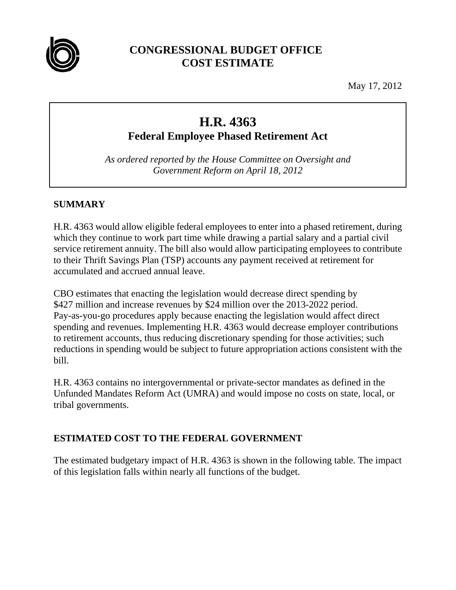

## **CONGRESSIONAL BUDGET OFFICE COST ESTIMATE**

May 17, 2012

# **H.R. 4363 Federal Employee Phased Retirement Act**

*As ordered reported by the House Committee on Oversight and Government Reform on April 18, 2012* 

### **SUMMARY**

H.R. 4363 would allow eligible federal employees to enter into a phased retirement, during which they continue to work part time while drawing a partial salary and a partial civil service retirement annuity. The bill also would allow participating employees to contribute to their Thrift Savings Plan (TSP) accounts any payment received at retirement for accumulated and accrued annual leave.

CBO estimates that enacting the legislation would decrease direct spending by \$427 million and increase revenues by \$24 million over the 2013-2022 period. Pay-as-you-go procedures apply because enacting the legislation would affect direct spending and revenues. Implementing H.R. 4363 would decrease employer contributions to retirement accounts, thus reducing discretionary spending for those activities; such reductions in spending would be subject to future appropriation actions consistent with the bill.

H.R. 4363 contains no intergovernmental or private-sector mandates as defined in the Unfunded Mandates Reform Act (UMRA) and would impose no costs on state, local, or tribal governments.

### **ESTIMATED COST TO THE FEDERAL GOVERNMENT**

The estimated budgetary impact of H.R. 4363 is shown in the following table. The impact of this legislation falls within nearly all functions of the budget.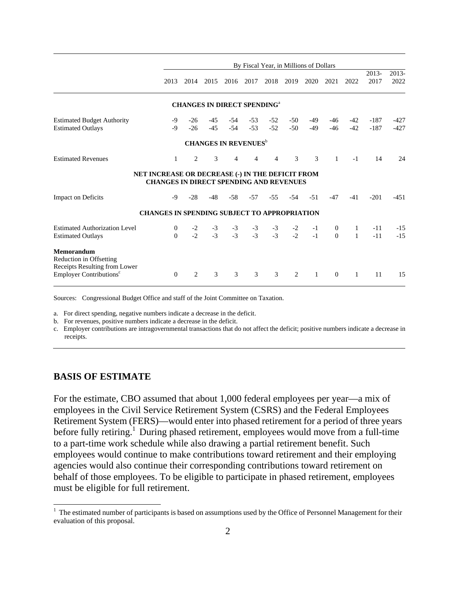|                                                                        | By Fiscal Year, in Millions of Dollars                                                             |                |                |                                               |                |                |                |              |                            |                   |                  |                  |
|------------------------------------------------------------------------|----------------------------------------------------------------------------------------------------|----------------|----------------|-----------------------------------------------|----------------|----------------|----------------|--------------|----------------------------|-------------------|------------------|------------------|
|                                                                        | 2013                                                                                               | 2014           | 2015           | 2016                                          | 2017           | 2018           | 2019           | 2020         | 2021                       | 2022              | 2013-<br>2017    | $2013 -$<br>2022 |
|                                                                        |                                                                                                    |                |                | <b>CHANGES IN DIRECT SPENDING<sup>a</sup></b> |                |                |                |              |                            |                   |                  |                  |
| <b>Estimated Budget Authority</b><br><b>Estimated Outlays</b>          | -9<br>$-9$                                                                                         | $-26$<br>$-26$ | $-45$<br>$-45$ | $-54$<br>$-54$                                | $-53$<br>$-53$ | $-52$<br>$-52$ | $-50$<br>$-50$ | -49<br>$-49$ | $-46$<br>$-46$             | $-42$<br>$-42$    | $-187$<br>$-187$ | -427<br>$-427$   |
|                                                                        |                                                                                                    |                |                | <b>CHANGES IN REVENUES</b> <sup>b</sup>       |                |                |                |              |                            |                   |                  |                  |
| <b>Estimated Revenues</b>                                              | $\mathbf{1}$                                                                                       | 2              | 3              | $\overline{4}$                                | 4              | 4              | 3              | 3            | $\mathbf{1}$               | $-1$              | 14               | 24               |
|                                                                        | NET INCREASE OR DECREASE (-) IN THE DEFICIT FROM<br><b>CHANGES IN DIRECT SPENDING AND REVENUES</b> |                |                |                                               |                |                |                |              |                            |                   |                  |                  |
| <b>Impact on Deficits</b>                                              | -9                                                                                                 | $-28$          | -48            | $-58$                                         | $-57$          | $-55$          | $-54$          | $-51$        | $-47$                      | $-41$             | $-201$           | $-451$           |
|                                                                        | <b>CHANGES IN SPENDING SUBJECT TO APPROPRIATION</b>                                                |                |                |                                               |                |                |                |              |                            |                   |                  |                  |
| <b>Estimated Authorization Level</b><br><b>Estimated Outlays</b>       | $\theta$<br>$\Omega$                                                                               | $-2$<br>$-2$   | $-3$<br>$-3$   | $-3$<br>$-3$                                  | $-3$<br>$-3$   | $-3$<br>$-3$   | $-2$<br>$-2$   | $-1$<br>$-1$ | $\overline{0}$<br>$\Omega$ | 1<br>$\mathbf{1}$ | $-11$<br>$-11$   | $-15$<br>$-15$   |
| Memorandum<br>Reduction in Offsetting<br>Receipts Resulting from Lower |                                                                                                    |                |                |                                               |                |                |                |              |                            |                   |                  |                  |
| Employer Contributions <sup>c</sup>                                    | $\Omega$                                                                                           | 2              | 3              | 3                                             | 3              | 3              | 2              | $\mathbf{1}$ | $\Omega$                   | $\mathbf{1}$      | 11               | 15               |

Sources: Congressional Budget Office and staff of the Joint Committee on Taxation.

a. For direct spending, negative numbers indicate a decrease in the deficit.

b. For revenues, positive numbers indicate a decrease in the deficit.

c. Employer contributions are intragovernmental transactions that do not affect the deficit; positive numbers indicate a decrease in receipts.

#### **BASIS OF ESTIMATE**

 $\overline{a}$ 

For the estimate, CBO assumed that about 1,000 federal employees per year—a mix of employees in the Civil Service Retirement System (CSRS) and the Federal Employees Retirement System (FERS)—would enter into phased retirement for a period of three years before fully retiring.<sup>1</sup> During phased retirement, employees would move from a full-time to a part-time work schedule while also drawing a partial retirement benefit. Such employees would continue to make contributions toward retirement and their employing agencies would also continue their corresponding contributions toward retirement on behalf of those employees. To be eligible to participate in phased retirement, employees must be eligible for full retirement.

 $1$  The estimated number of participants is based on assumptions used by the Office of Personnel Management for their evaluation of this proposal.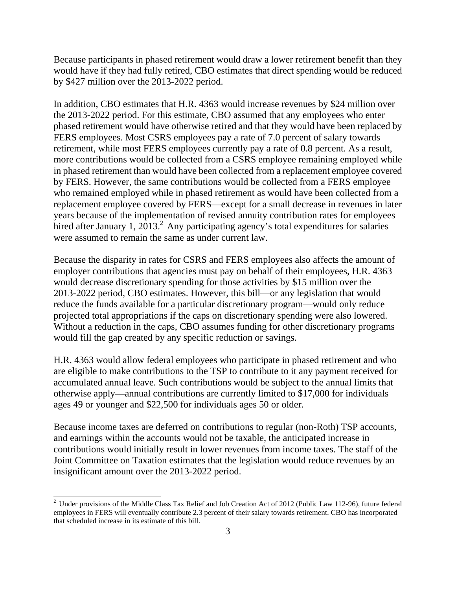Because participants in phased retirement would draw a lower retirement benefit than they would have if they had fully retired, CBO estimates that direct spending would be reduced by \$427 million over the 2013-2022 period.

In addition, CBO estimates that H.R. 4363 would increase revenues by \$24 million over the 2013-2022 period. For this estimate, CBO assumed that any employees who enter phased retirement would have otherwise retired and that they would have been replaced by FERS employees. Most CSRS employees pay a rate of 7.0 percent of salary towards retirement, while most FERS employees currently pay a rate of 0.8 percent. As a result, more contributions would be collected from a CSRS employee remaining employed while in phased retirement than would have been collected from a replacement employee covered by FERS. However, the same contributions would be collected from a FERS employee who remained employed while in phased retirement as would have been collected from a replacement employee covered by FERS—except for a small decrease in revenues in later years because of the implementation of revised annuity contribution rates for employees hired after January 1,  $2013<sup>2</sup>$  Any participating agency's total expenditures for salaries were assumed to remain the same as under current law.

Because the disparity in rates for CSRS and FERS employees also affects the amount of employer contributions that agencies must pay on behalf of their employees, H.R. 4363 would decrease discretionary spending for those activities by \$15 million over the 2013-2022 period, CBO estimates. However, this bill—or any legislation that would reduce the funds available for a particular discretionary program—would only reduce projected total appropriations if the caps on discretionary spending were also lowered. Without a reduction in the caps, CBO assumes funding for other discretionary programs would fill the gap created by any specific reduction or savings.

H.R. 4363 would allow federal employees who participate in phased retirement and who are eligible to make contributions to the TSP to contribute to it any payment received for accumulated annual leave. Such contributions would be subject to the annual limits that otherwise apply—annual contributions are currently limited to \$17,000 for individuals ages 49 or younger and \$22,500 for individuals ages 50 or older.

Because income taxes are deferred on contributions to regular (non-Roth) TSP accounts, and earnings within the accounts would not be taxable, the anticipated increase in contributions would initially result in lower revenues from income taxes. The staff of the Joint Committee on Taxation estimates that the legislation would reduce revenues by an insignificant amount over the 2013-2022 period.

 $\overline{a}$ 

<sup>&</sup>lt;sup>2</sup> Under provisions of the Middle Class Tax Relief and Job Creation Act of 2012 (Public Law 112-96), future federal employees in FERS will eventually contribute 2.3 percent of their salary towards retirement. CBO has incorporated that scheduled increase in its estimate of this bill.